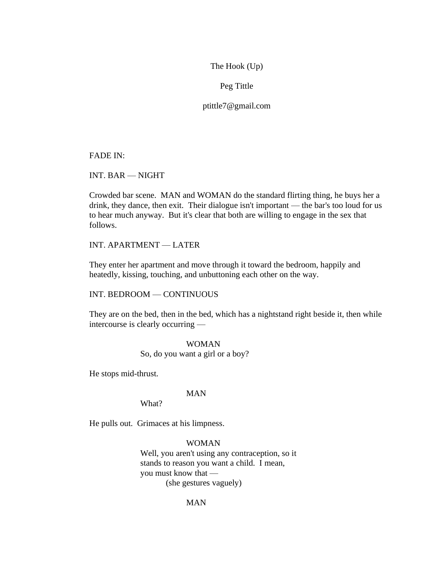The Hook (Up)

Peg Tittle

ptittle7@gmail.com

FADE IN:

INT. BAR — NIGHT

Crowded bar scene. MAN and WOMAN do the standard flirting thing, he buys her a drink, they dance, then exit. Their dialogue isn't important — the bar's too loud for us to hear much anyway. But it's clear that both are willing to engage in the sex that follows.

INT. APARTMENT — LATER

They enter her apartment and move through it toward the bedroom, happily and heatedly, kissing, touching, and unbuttoning each other on the way.

INT. BEDROOM — CONTINUOUS

They are on the bed, then in the bed, which has a nightstand right beside it, then while intercourse is clearly occurring —

> WOMAN So, do you want a girl or a boy?

He stops mid-thrust.

### MAN

What?

He pulls out. Grimaces at his limpness.

#### WOMAN

Well, you aren't using any contraception, so it stands to reason you want a child. I mean, you must know that — (she gestures vaguely)

#### MAN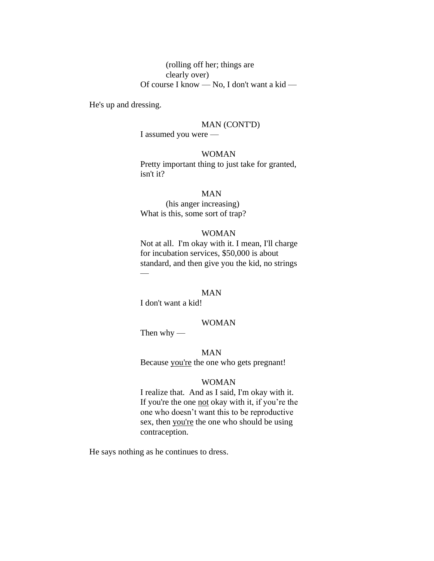# (rolling off her; things are clearly over) Of course I know — No, I don't want a kid —

He's up and dressing.

### MAN (CONT'D)

I assumed you were —

# WOMAN

Pretty important thing to just take for granted, isn't it?

# MAN

(his anger increasing) What is this, some sort of trap?

# WOMAN

Not at all. I'm okay with it. I mean, I'll charge for incubation services, \$50,000 is about standard, and then give you the kid, no strings  $\overline{\phantom{a}}$ 

# MAN

I don't want a kid!

#### WOMAN

Then  $why$  —

MAN Because you're the one who gets pregnant!

### WOMAN

I realize that. And as I said, I'm okay with it. If you're the one not okay with it, if you're the one who doesn't want this to be reproductive sex, then you're the one who should be using contraception.

He says nothing as he continues to dress.